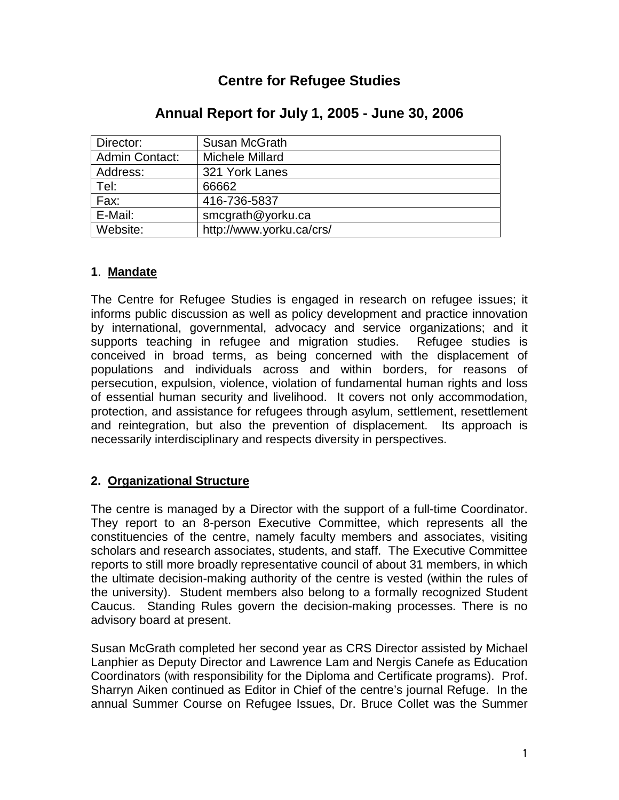# **Centre for Refugee Studies**

| Director:             | Susan McGrath            |
|-----------------------|--------------------------|
| <b>Admin Contact:</b> | Michele Millard          |
| Address:              | 321 York Lanes           |
| Tel:                  | 66662                    |
| Fax:                  | 416-736-5837             |
| E-Mail:               | smcgrath@yorku.ca        |
| Website:              | http://www.yorku.ca/crs/ |

## **Annual Report for July 1, 2005 - June 30, 2006**

## **1**. **Mandate**

The Centre for Refugee Studies is engaged in research on refugee issues; it informs public discussion as well as policy development and practice innovation by international, governmental, advocacy and service organizations; and it supports teaching in refugee and migration studies. Refugee studies is conceived in broad terms, as being concerned with the displacement of populations and individuals across and within borders, for reasons of persecution, expulsion, violence, violation of fundamental human rights and loss of essential human security and livelihood. It covers not only accommodation, protection, and assistance for refugees through asylum, settlement, resettlement and reintegration, but also the prevention of displacement. Its approach is necessarily interdisciplinary and respects diversity in perspectives.

## **2. Organizational Structure**

The centre is managed by a Director with the support of a full-time Coordinator. They report to an 8-person Executive Committee, which represents all the constituencies of the centre, namely faculty members and associates, visiting scholars and research associates, students, and staff. The Executive Committee reports to still more broadly representative council of about 31 members, in which the ultimate decision-making authority of the centre is vested (within the rules of the university). Student members also belong to a formally recognized Student Caucus. Standing Rules govern the decision-making processes. There is no advisory board at present.

Susan McGrath completed her second year as CRS Director assisted by Michael Lanphier as Deputy Director and Lawrence Lam and Nergis Canefe as Education Coordinators (with responsibility for the Diploma and Certificate programs). Prof. Sharryn Aiken continued as Editor in Chief of the centre's journal Refuge. In the annual Summer Course on Refugee Issues, Dr. Bruce Collet was the Summer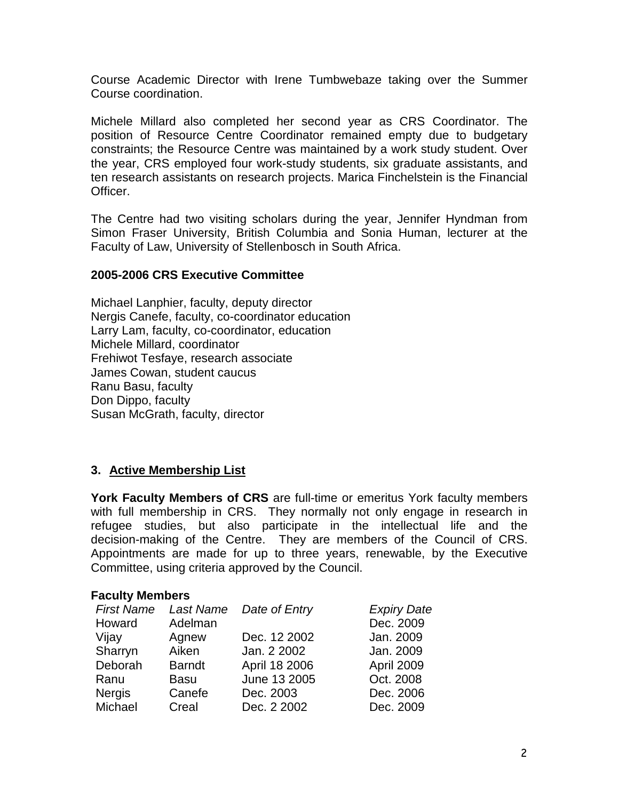Course Academic Director with Irene Tumbwebaze taking over the Summer Course coordination.

Michele Millard also completed her second year as CRS Coordinator. The position of Resource Centre Coordinator remained empty due to budgetary constraints; the Resource Centre was maintained by a work study student. Over the year, CRS employed four work-study students, six graduate assistants, and ten research assistants on research projects. Marica Finchelstein is the Financial Officer.

The Centre had two visiting scholars during the year, Jennifer Hyndman from Simon Fraser University, British Columbia and Sonia Human, lecturer at the Faculty of Law, University of Stellenbosch in South Africa.

#### **2005-2006 CRS Executive Committee**

Michael Lanphier, faculty, deputy director Nergis Canefe, faculty, co-coordinator education Larry Lam, faculty, co-coordinator, education Michele Millard, coordinator Frehiwot Tesfaye, research associate James Cowan, student caucus Ranu Basu, faculty Don Dippo, faculty Susan McGrath, faculty, director

## **3. Active Membership List**

**York Faculty Members of CRS** are full-time or emeritus York faculty members with full membership in CRS. They normally not only engage in research in refugee studies, but also participate in the intellectual life and the decision-making of the Centre. They are members of the Council of CRS. Appointments are made for up to three years, renewable, by the Executive Committee, using criteria approved by the Council.

#### **Faculty Members**

| <b>First Name</b> | Last Name     | Date of Entry | <b>Expiry Date</b> |
|-------------------|---------------|---------------|--------------------|
| Howard            | Adelman       |               | Dec. 2009          |
| Vijay             | Agnew         | Dec. 12 2002  | Jan. 2009          |
| Sharryn           | Aiken         | Jan. 2 2002   | Jan. 2009          |
| Deborah           | <b>Barndt</b> | April 18 2006 | April 2009         |
| Ranu              | <b>Basu</b>   | June 13 2005  | Oct. 2008          |
| <b>Nergis</b>     | Canefe        | Dec. 2003     | Dec. 2006          |
| Michael           | Creal         | Dec. 2 2002   | Dec. 2009          |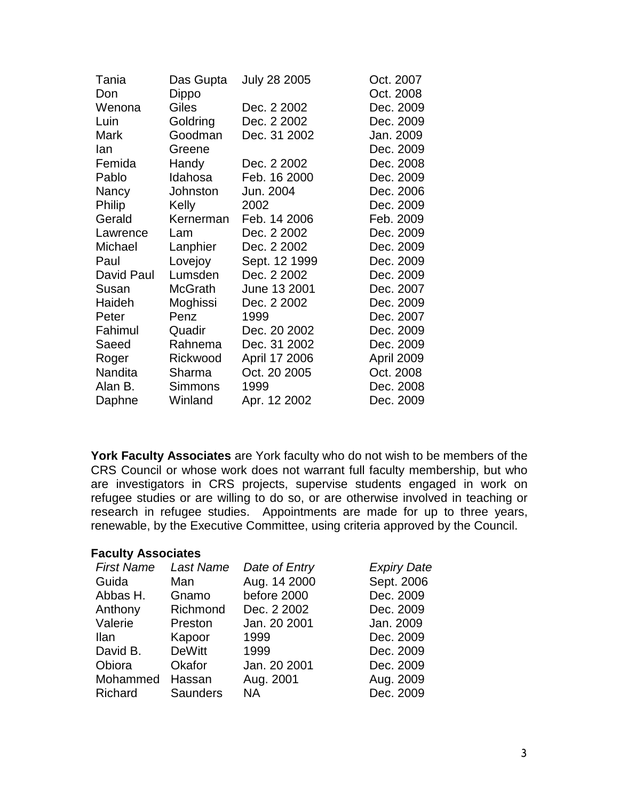| Tania         | Das Gupta      | <b>July 28 2005</b> | Oct. 2007  |
|---------------|----------------|---------------------|------------|
| Don           | Dippo          |                     | Oct. 2008  |
| Wenona        | Giles          | Dec. 2 2002         | Dec. 2009  |
| Luin          | Goldring       | Dec. 2 2002         | Dec. 2009  |
| Mark          | Goodman        | Dec. 31 2002        | Jan. 2009  |
| lan           | Greene         |                     | Dec. 2009  |
| Femida        | Handy          | Dec. 2 2002         | Dec. 2008  |
| Pablo         | Idahosa        | Feb. 16 2000        | Dec. 2009  |
| Nancy         | Johnston       | Jun. 2004           | Dec. 2006  |
| <b>Philip</b> | Kelly          | 2002                | Dec. 2009  |
| Gerald        | Kernerman      | Feb. 14 2006        | Feb. 2009  |
| Lawrence      | Lam            | Dec. 2 2002         | Dec. 2009  |
| Michael       | Lanphier       | Dec. 2 2002         | Dec. 2009  |
| Paul          | Lovejoy        | Sept. 12 1999       | Dec. 2009  |
| David Paul    | Lumsden        | Dec. 2 2002         | Dec. 2009  |
| Susan         | McGrath        | June 13 2001        | Dec. 2007  |
| Haideh        | Moghissi       | Dec. 2 2002         | Dec. 2009  |
| Peter         | Penz           | 1999                | Dec. 2007  |
| Fahimul       | Quadir         | Dec. 20 2002        | Dec. 2009  |
| Saeed         | Rahnema        | Dec. 31 2002        | Dec. 2009  |
| Roger         | Rickwood       | April 17 2006       | April 2009 |
| Nandita       | Sharma         | Oct. 20 2005        | Oct. 2008  |
| Alan B.       | <b>Simmons</b> | 1999                | Dec. 2008  |
| Daphne        | Winland        | Apr. 12 2002        | Dec. 2009  |
|               |                |                     |            |

**York Faculty Associates** are York faculty who do not wish to be members of the CRS Council or whose work does not warrant full faculty membership, but who are investigators in CRS projects, supervise students engaged in work on refugee studies or are willing to do so, or are otherwise involved in teaching or research in refugee studies. Appointments are made for up to three years, renewable, by the Executive Committee, using criteria approved by the Council.

#### **Faculty Associates**

| <b>First Name</b> | Last Name       | Date of Entry | <b>Expiry Date</b> |
|-------------------|-----------------|---------------|--------------------|
| Guida             | Man             | Aug. 14 2000  | Sept. 2006         |
| Abbas H.          | Gnamo           | before 2000   | Dec. 2009          |
| Anthony           | Richmond        | Dec. 2 2002   | Dec. 2009          |
| Valerie           | Preston         | Jan. 20 2001  | Jan. 2009          |
| Ilan              | Kapoor          | 1999          | Dec. 2009          |
| David B.          | <b>DeWitt</b>   | 1999          | Dec. 2009          |
| Obiora            | Okafor          | Jan. 20 2001  | Dec. 2009          |
| Mohammed          | Hassan          | Aug. 2001     | Aug. 2009          |
| Richard           | <b>Saunders</b> | <b>NA</b>     | Dec. 2009          |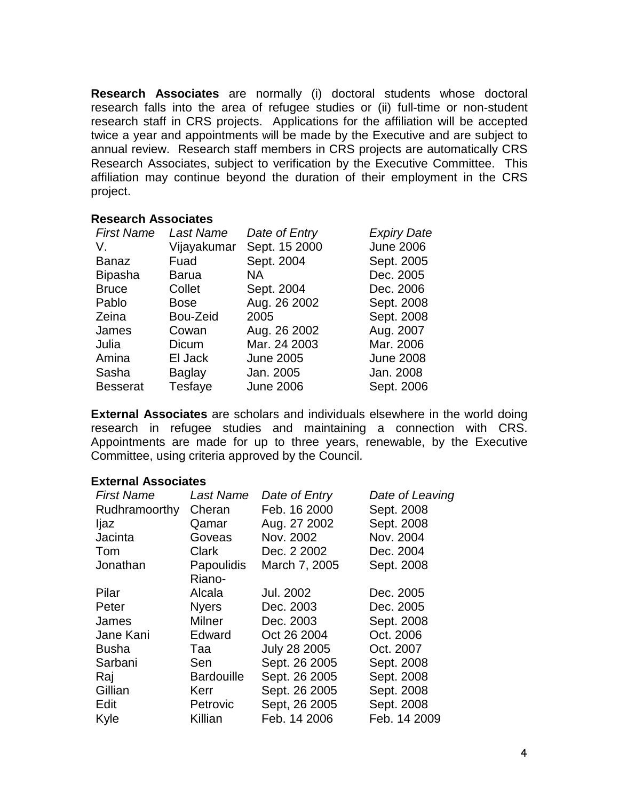**Research Associates** are normally (i) doctoral students whose doctoral research falls into the area of refugee studies or (ii) full-time or non-student research staff in CRS projects. Applications for the affiliation will be accepted twice a year and appointments will be made by the Executive and are subject to annual review. Research staff members in CRS projects are automatically CRS Research Associates, subject to verification by the Executive Committee. This affiliation may continue beyond the duration of their employment in the CRS project.

#### **Research Associates**

| <b>Last Name</b> | Date of Entry    | <b>Expiry Date</b> |
|------------------|------------------|--------------------|
| Vijayakumar      | Sept. 15 2000    | <b>June 2006</b>   |
| Fuad             | Sept. 2004       | Sept. 2005         |
| <b>Barua</b>     | NA.              | Dec. 2005          |
| Collet           | Sept. 2004       | Dec. 2006          |
| <b>Bose</b>      | Aug. 26 2002     | Sept. 2008         |
| Bou-Zeid         | 2005             | Sept. 2008         |
| Cowan            | Aug. 26 2002     | Aug. 2007          |
| Dicum            | Mar. 24 2003     | Mar. 2006          |
| El Jack          | <b>June 2005</b> | <b>June 2008</b>   |
| <b>Baglay</b>    | Jan. 2005        | Jan. 2008          |
| Tesfaye          | <b>June 2006</b> | Sept. 2006         |
|                  |                  |                    |

**External Associates** are scholars and individuals elsewhere in the world doing research in refugee studies and maintaining a connection with CRS. Appointments are made for up to three years, renewable, by the Executive Committee, using criteria approved by the Council.

#### **External Associates**

| <b>First Name</b> | <b>Last Name</b>  | Date of Entry       | Date of Leaving |
|-------------------|-------------------|---------------------|-----------------|
| Rudhramoorthy     | Cheran            | Feb. 16 2000        | Sept. 2008      |
| ljaz              | Qamar             | Aug. 27 2002        | Sept. 2008      |
| Jacinta           | Goveas            | Nov. 2002           | Nov. 2004       |
| Tom               | <b>Clark</b>      | Dec. 2 2002         | Dec. 2004       |
| Jonathan          | <b>Papoulidis</b> | March 7, 2005       | Sept. 2008      |
|                   | Riano-            |                     |                 |
| Pilar             | Alcala            | Jul. 2002           | Dec. 2005       |
| Peter             | <b>Nyers</b>      | Dec. 2003           | Dec. 2005       |
| James             | Milner            | Dec. 2003           | Sept. 2008      |
| Jane Kani         | Edward            | Oct 26 2004         | Oct. 2006       |
| <b>Busha</b>      | Taa               | <b>July 28 2005</b> | Oct. 2007       |
| Sarbani           | Sen               | Sept. 26 2005       | Sept. 2008      |
| Raj               | <b>Bardouille</b> | Sept. 26 2005       | Sept. 2008      |
| Gillian           | Kerr              | Sept. 26 2005       | Sept. 2008      |
| Edit              | Petrovic          | Sept, 26 2005       | Sept. 2008      |
| Kyle              | Killian           | Feb. 14 2006        | Feb. 14 2009    |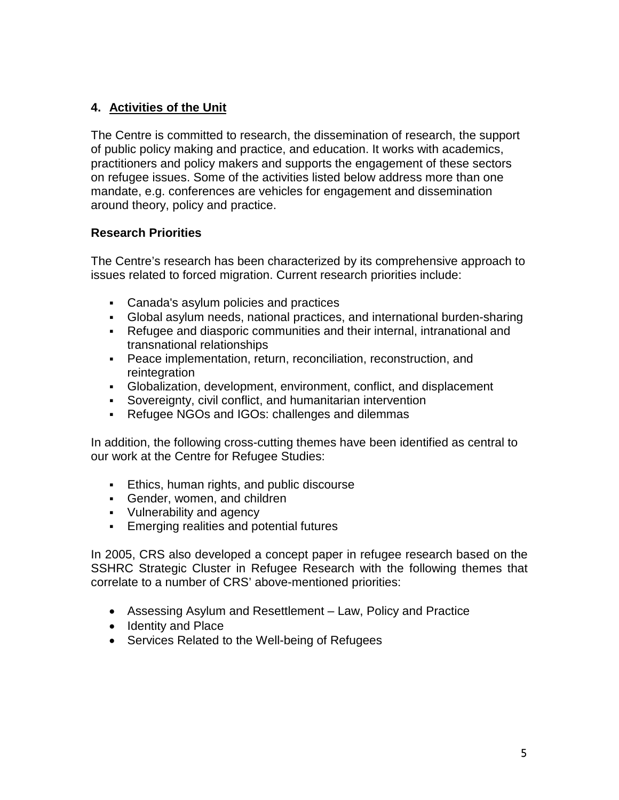## **4. Activities of the Unit**

The Centre is committed to research, the dissemination of research, the support of public policy making and practice, and education. It works with academics, practitioners and policy makers and supports the engagement of these sectors on refugee issues. Some of the activities listed below address more than one mandate, e.g. conferences are vehicles for engagement and dissemination around theory, policy and practice.

## **Research Priorities**

The Centre's research has been characterized by its comprehensive approach to issues related to forced migration. Current research priorities include:

- Canada's asylum policies and practices
- Global asylum needs, national practices, and international burden-sharing
- Refugee and diasporic communities and their internal, intranational and transnational relationships
- Peace implementation, return, reconciliation, reconstruction, and reintegration
- Globalization, development, environment, conflict, and displacement
- Sovereignty, civil conflict, and humanitarian intervention
- Refugee NGOs and IGOs: challenges and dilemmas

In addition, the following cross-cutting themes have been identified as central to our work at the Centre for Refugee Studies:

- **Ethics, human rights, and public discourse**
- Gender, women, and children
- Vulnerability and agency
- Emerging realities and potential futures

In 2005, CRS also developed a concept paper in refugee research based on the SSHRC Strategic Cluster in Refugee Research with the following themes that correlate to a number of CRS' above-mentioned priorities:

- Assessing Asylum and Resettlement Law, Policy and Practice
- Identity and Place
- Services Related to the Well-being of Refugees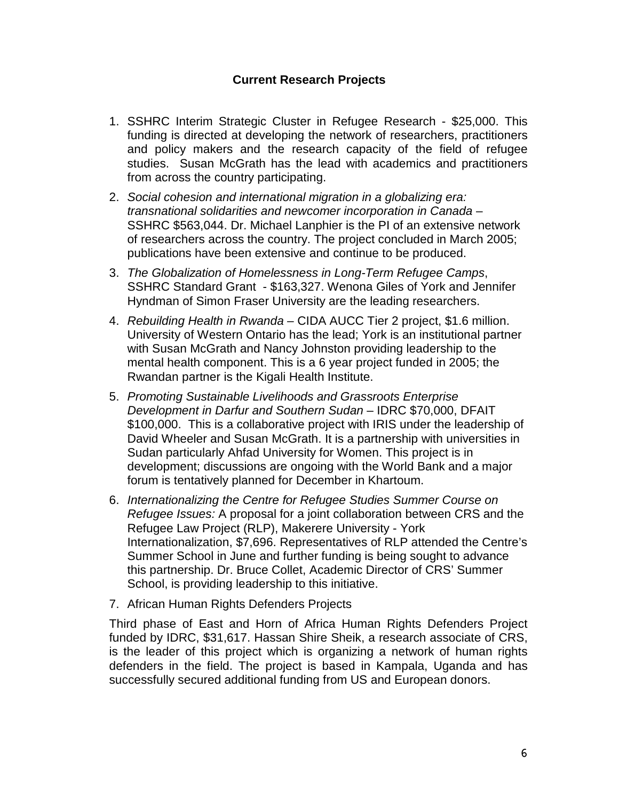### **Current Research Projects**

- 1. SSHRC Interim Strategic Cluster in Refugee Research \$25,000. This funding is directed at developing the network of researchers, practitioners and policy makers and the research capacity of the field of refugee studies. Susan McGrath has the lead with academics and practitioners from across the country participating.
- 2. *Social cohesion and international migration in a globalizing era: transnational solidarities and newcomer incorporation in Canada* – SSHRC \$563,044. Dr. Michael Lanphier is the PI of an extensive network of researchers across the country. The project concluded in March 2005; publications have been extensive and continue to be produced.
- 3. *The Globalization of Homelessness in Long-Term Refugee Camps*, SSHRC Standard Grant - \$163,327. Wenona Giles of York and Jennifer Hyndman of Simon Fraser University are the leading researchers.
- 4. *Rebuilding Health in Rwanda* CIDA AUCC Tier 2 project, \$1.6 million. University of Western Ontario has the lead; York is an institutional partner with Susan McGrath and Nancy Johnston providing leadership to the mental health component. This is a 6 year project funded in 2005; the Rwandan partner is the Kigali Health Institute.
- 5. *Promoting Sustainable Livelihoods and Grassroots Enterprise Development in Darfur and Southern Sudan* – IDRC \$70,000, DFAIT \$100,000. This is a collaborative project with IRIS under the leadership of David Wheeler and Susan McGrath. It is a partnership with universities in Sudan particularly Ahfad University for Women. This project is in development; discussions are ongoing with the World Bank and a major forum is tentatively planned for December in Khartoum.
- 6. *Internationalizing the Centre for Refugee Studies Summer Course on Refugee Issues:* A proposal for a joint collaboration between CRS and the Refugee Law Project (RLP), Makerere University - York Internationalization, \$7,696. Representatives of RLP attended the Centre's Summer School in June and further funding is being sought to advance this partnership. Dr. Bruce Collet, Academic Director of CRS' Summer School, is providing leadership to this initiative.
- 7. African Human Rights Defenders Projects

Third phase of East and Horn of Africa Human Rights Defenders Project funded by IDRC, \$31,617. Hassan Shire Sheik, a research associate of CRS, is the leader of this project which is organizing a network of human rights defenders in the field. The project is based in Kampala, Uganda and has successfully secured additional funding from US and European donors.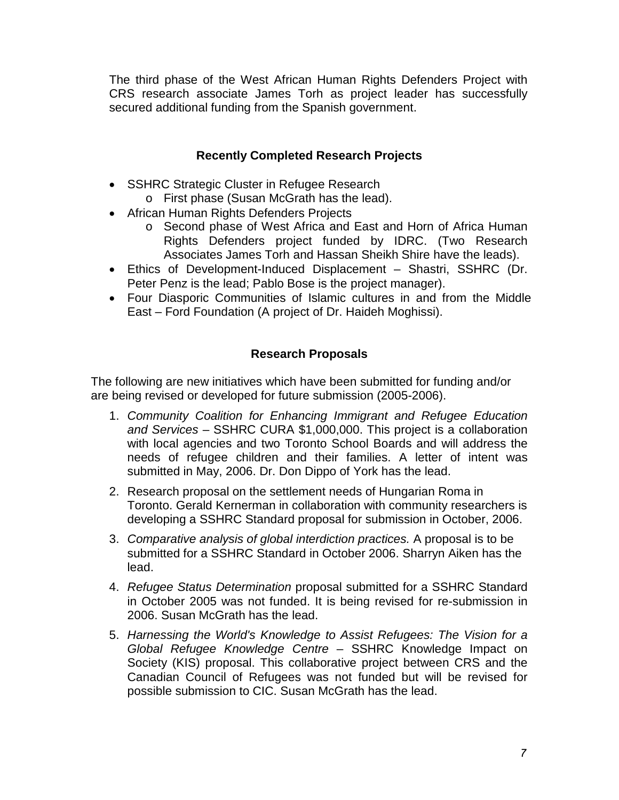The third phase of the West African Human Rights Defenders Project with CRS research associate James Torh as project leader has successfully secured additional funding from the Spanish government.

## **Recently Completed Research Projects**

- SSHRC Strategic Cluster in Refugee Research
	- o First phase (Susan McGrath has the lead).
- African Human Rights Defenders Projects
	- o Second phase of West Africa and East and Horn of Africa Human Rights Defenders project funded by IDRC. (Two Research Associates James Torh and Hassan Sheikh Shire have the leads).
- Ethics of Development-Induced Displacement Shastri, SSHRC (Dr. Peter Penz is the lead; Pablo Bose is the project manager).
- Four Diasporic Communities of Islamic cultures in and from the Middle East – Ford Foundation (A project of Dr. Haideh Moghissi).

## **Research Proposals**

The following are new initiatives which have been submitted for funding and/or are being revised or developed for future submission (2005-2006).

- 1. *Community Coalition for Enhancing Immigrant and Refugee Education and Services* – SSHRC CURA \$1,000,000. This project is a collaboration with local agencies and two Toronto School Boards and will address the needs of refugee children and their families. A letter of intent was submitted in May, 2006. Dr. Don Dippo of York has the lead.
- 2. Research proposal on the settlement needs of Hungarian Roma in Toronto. Gerald Kernerman in collaboration with community researchers is developing a SSHRC Standard proposal for submission in October, 2006.
- 3. *Comparative analysis of global interdiction practices.* A proposal is to be submitted for a SSHRC Standard in October 2006. Sharryn Aiken has the lead.
- 4. *Refugee Status Determination* proposal submitted for a SSHRC Standard in October 2005 was not funded. It is being revised for re-submission in 2006. Susan McGrath has the lead.
- 5. *Harnessing the World's Knowledge to Assist Refugees: The Vision for a Global Refugee Knowledge Centre* – SSHRC Knowledge Impact on Society (KIS) proposal. This collaborative project between CRS and the Canadian Council of Refugees was not funded but will be revised for possible submission to CIC. Susan McGrath has the lead.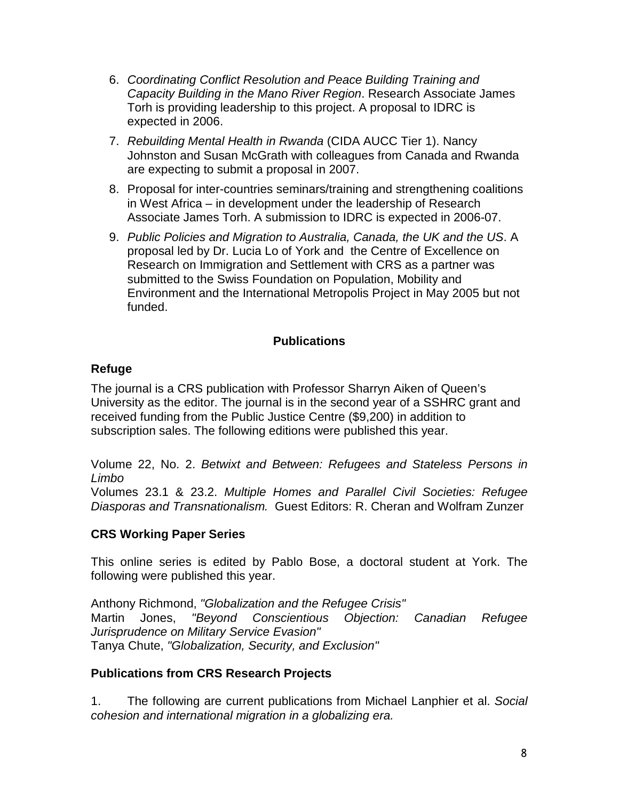- 6. *Coordinating Conflict Resolution and Peace Building Training and Capacity Building in the Mano River Region*. Research Associate James Torh is providing leadership to this project. A proposal to IDRC is expected in 2006.
- 7. *Rebuilding Mental Health in Rwanda* (CIDA AUCC Tier 1). Nancy Johnston and Susan McGrath with colleagues from Canada and Rwanda are expecting to submit a proposal in 2007.
- 8. Proposal for inter-countries seminars/training and strengthening coalitions in West Africa – in development under the leadership of Research Associate James Torh. A submission to IDRC is expected in 2006-07.
- 9. *Public Policies and Migration to Australia, Canada, the UK and the US*. A proposal led by Dr. Lucia Lo of York and the Centre of Excellence on Research on Immigration and Settlement with CRS as a partner was submitted to the Swiss Foundation on Population, Mobility and Environment and the International Metropolis Project in May 2005 but not funded.

## **Publications**

### **Refuge**

The journal is a CRS publication with Professor Sharryn Aiken of Queen's University as the editor. The journal is in the second year of a SSHRC grant and received funding from the Public Justice Centre (\$9,200) in addition to subscription sales. The following editions were published this year.

Volume 22, No. 2. *Betwixt and Between: Refugees and Stateless Persons in Limbo*

Volumes 23.1 & 23.2. *Multiple Homes and Parallel Civil Societies: Refugee Diasporas and Transnationalism.* Guest Editors: R. Cheran and Wolfram Zunzer

#### **CRS Working Paper Series**

This online series is edited by Pablo Bose, a doctoral student at York. The following were published this year.

Anthony Richmond, *"Globalization and the Refugee Crisis"* Martin Jones, *"Beyond Conscientious Objection: Canadian Refugee Jurisprudence on Military Service Evasion"* Tanya Chute, *"Globalization, Security, and Exclusion"*

#### **Publications from CRS Research Projects**

1. The following are current publications from Michael Lanphier et al. *Social cohesion and international migration in a globalizing era.*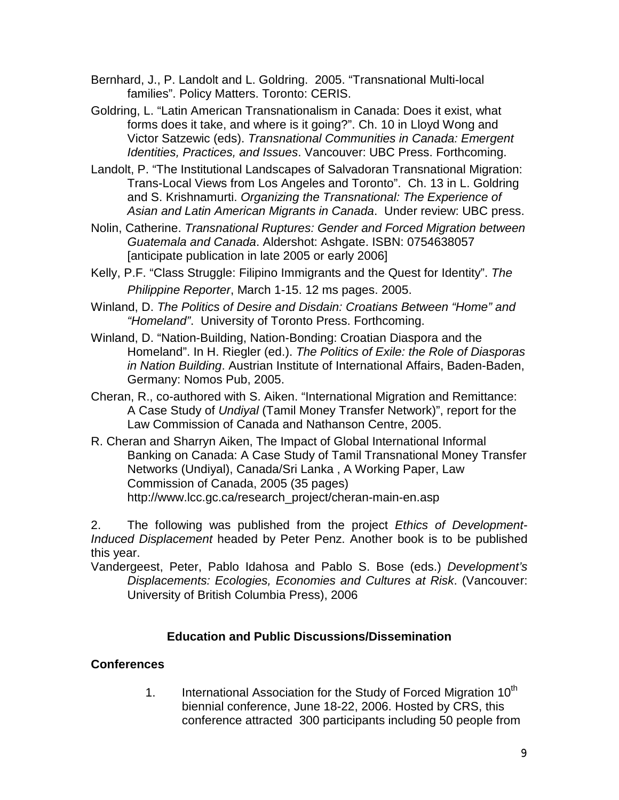- Bernhard, J., P. Landolt and L. Goldring. 2005. "Transnational Multi-local families". Policy Matters. Toronto: CERIS.
- Goldring, L. "Latin American Transnationalism in Canada: Does it exist, what forms does it take, and where is it going?". Ch. 10 in Lloyd Wong and Victor Satzewic (eds). *Transnational Communities in Canada: Emergent Identities, Practices, and Issues*. Vancouver: UBC Press. Forthcoming.
- Landolt, P. "The Institutional Landscapes of Salvadoran Transnational Migration: Trans-Local Views from Los Angeles and Toronto". Ch. 13 in L. Goldring and S. Krishnamurti. *Organizing the Transnational: The Experience of Asian and Latin American Migrants in Canada*. Under review: UBC press.
- Nolin, Catherine. *Transnational Ruptures: Gender and Forced Migration between Guatemala and Canada*. Aldershot: Ashgate. ISBN: 0754638057 [anticipate publication in late 2005 or early 2006]
- Kelly, P.F. "Class Struggle: Filipino Immigrants and the Quest for Identity". *The Philippine Reporter*, March 1-15. 12 ms pages. 2005.
- Winland, D. *The Politics of Desire and Disdain: Croatians Between "Home" and "Homeland"*. University of Toronto Press. Forthcoming.
- Winland, D. "Nation-Building, Nation-Bonding: Croatian Diaspora and the Homeland". In H. Riegler (ed.). *The Politics of Exile: the Role of Diasporas in Nation Building*. Austrian Institute of International Affairs, Baden-Baden, Germany: Nomos Pub, 2005.
- Cheran, R., co-authored with S. Aiken. "International Migration and Remittance: A Case Study of *Undiyal* (Tamil Money Transfer Network)", report for the Law Commission of Canada and Nathanson Centre, 2005.
- R. Cheran and Sharryn Aiken, The Impact of Global International Informal Banking on Canada: A Case Study of Tamil Transnational Money Transfer Networks (Undiyal), Canada/Sri Lanka , A Working Paper, Law Commission of Canada, 2005 (35 pages) http://www.lcc.gc.ca/research\_project/cheran-main-en.asp

2. The following was published from the project *Ethics of Development-Induced Displacement* headed by Peter Penz. Another book is to be published this year.

Vandergeest, Peter, Pablo Idahosa and Pablo S. Bose (eds.) *Development's Displacements: Ecologies, Economies and Cultures at Risk*. (Vancouver: University of British Columbia Press), 2006

#### **Education and Public Discussions/Dissemination**

#### **Conferences**

1. International Association for the Study of Forced Migration  $10<sup>th</sup>$ biennial conference, June 18-22, 2006. Hosted by CRS, this conference attracted 300 participants including 50 people from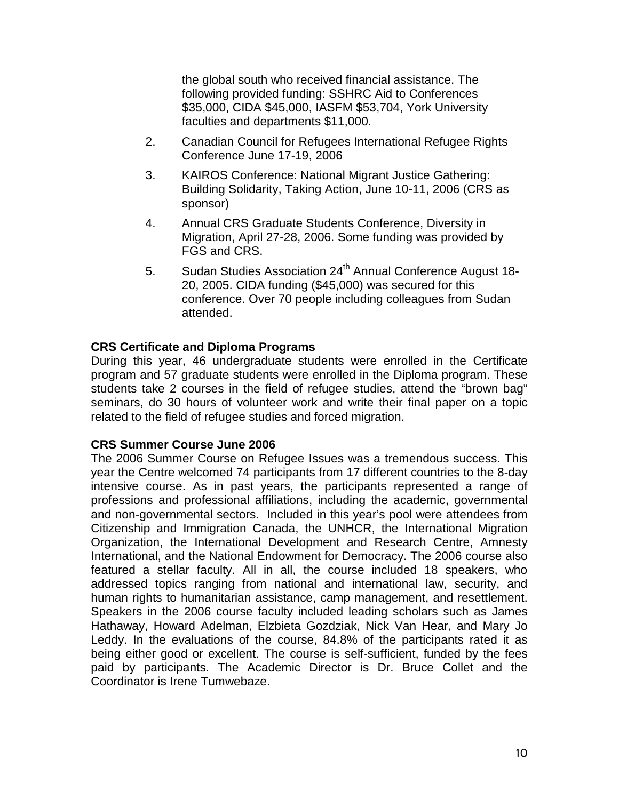the global south who received financial assistance. The following provided funding: SSHRC Aid to Conferences \$35,000, CIDA \$45,000, IASFM \$53,704, York University faculties and departments \$11,000.

- 2. Canadian Council for Refugees International Refugee Rights Conference June 17-19, 2006
- 3. KAIROS Conference: National Migrant Justice Gathering: Building Solidarity, Taking Action, June 10-11, 2006 (CRS as sponsor)
- 4. Annual CRS Graduate Students Conference, Diversity in Migration, April 27-28, 2006. Some funding was provided by FGS and CRS.
- 5. Sudan Studies Association 24<sup>th</sup> Annual Conference August 18-20, 2005. CIDA funding (\$45,000) was secured for this conference. Over 70 people including colleagues from Sudan attended.

### **CRS Certificate and Diploma Programs**

During this year, 46 undergraduate students were enrolled in the Certificate program and 57 graduate students were enrolled in the Diploma program. These students take 2 courses in the field of refugee studies, attend the "brown bag" seminars, do 30 hours of volunteer work and write their final paper on a topic related to the field of refugee studies and forced migration.

#### **CRS Summer Course June 2006**

The 2006 Summer Course on Refugee Issues was a tremendous success. This year the Centre welcomed 74 participants from 17 different countries to the 8-day intensive course. As in past years, the participants represented a range of professions and professional affiliations, including the academic, governmental and non-governmental sectors. Included in this year's pool were attendees from Citizenship and Immigration Canada, the UNHCR, the International Migration Organization, the International Development and Research Centre, Amnesty International, and the National Endowment for Democracy. The 2006 course also featured a stellar faculty. All in all, the course included 18 speakers, who addressed topics ranging from national and international law, security, and human rights to humanitarian assistance, camp management, and resettlement. Speakers in the 2006 course faculty included leading scholars such as James Hathaway, Howard Adelman, Elzbieta Gozdziak, Nick Van Hear, and Mary Jo Leddy. In the evaluations of the course, 84.8% of the participants rated it as being either good or excellent. The course is self-sufficient, funded by the fees paid by participants. The Academic Director is Dr. Bruce Collet and the Coordinator is Irene Tumwebaze.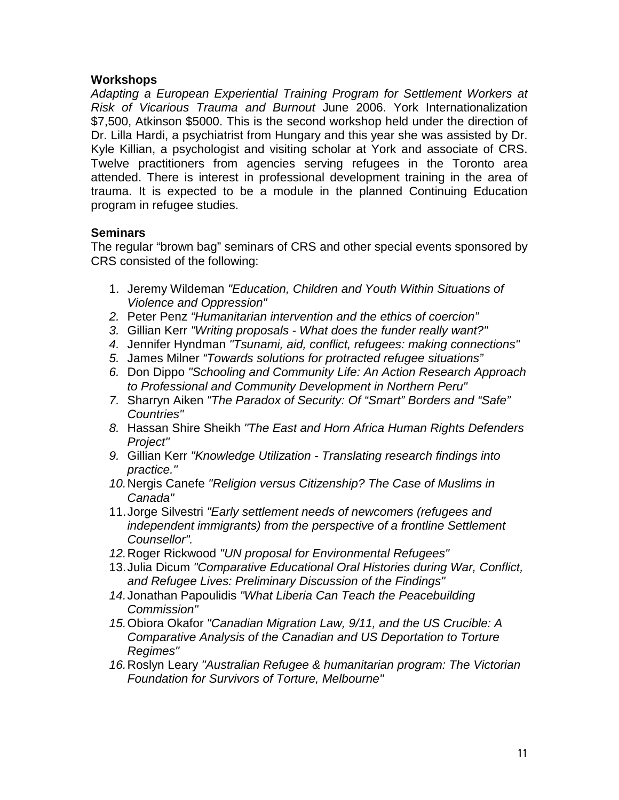#### **Workshops**

*Adapting a European Experiential Training Program for Settlement Workers at Risk of Vicarious Trauma and Burnout* June 2006. York Internationalization \$7,500, Atkinson \$5000. This is the second workshop held under the direction of Dr. Lilla Hardi, a psychiatrist from Hungary and this year she was assisted by Dr. Kyle Killian, a psychologist and visiting scholar at York and associate of CRS. Twelve practitioners from agencies serving refugees in the Toronto area attended. There is interest in professional development training in the area of trauma. It is expected to be a module in the planned Continuing Education program in refugee studies.

## **Seminars**

The regular "brown bag" seminars of CRS and other special events sponsored by CRS consisted of the following:

- 1. Jeremy Wildeman *"Education, Children and Youth Within Situations of Violence and Oppression"*
- *2.* Peter Penz *"Humanitarian intervention and the ethics of coercion"*
- *3.* Gillian Kerr *"Writing proposals - What does the funder really want?"*
- *4.* Jennifer Hyndman *"Tsunami, aid, conflict, refugees: making connections"*
- *5.* James Milner *"Towards solutions for protracted refugee situations"*
- *6.* Don Dippo *"Schooling and Community Life: An Action Research Approach to Professional and Community Development in Northern Peru"*
- *7.* Sharryn Aiken *"The Paradox of Security: Of "Smart" Borders and "Safe" Countries"*
- *8.* Hassan Shire Sheikh *"The East and Horn Africa Human Rights Defenders Project"*
- *9.* Gillian Kerr *"Knowledge Utilization - Translating research findings into practice."*
- *10.*Nergis Canefe *"Religion versus Citizenship? The Case of Muslims in Canada"*
- 11.Jorge Silvestri *"Early settlement needs of newcomers (refugees and independent immigrants) from the perspective of a frontline Settlement Counsellor".*
- *12.*Roger Rickwood *"UN proposal for Environmental Refugees"*
- 13.Julia Dicum *"Comparative Educational Oral Histories during War, Conflict, and Refugee Lives: Preliminary Discussion of the Findings"*
- *14.*Jonathan Papoulidis *"What Liberia Can Teach the Peacebuilding Commission"*
- *15.*Obiora Okafor *"Canadian Migration Law, 9/11, and the US Crucible: A Comparative Analysis of the Canadian and US Deportation to Torture Regimes"*
- *16.*Roslyn Leary *"Australian Refugee & humanitarian program: The Victorian Foundation for Survivors of Torture, Melbourne"*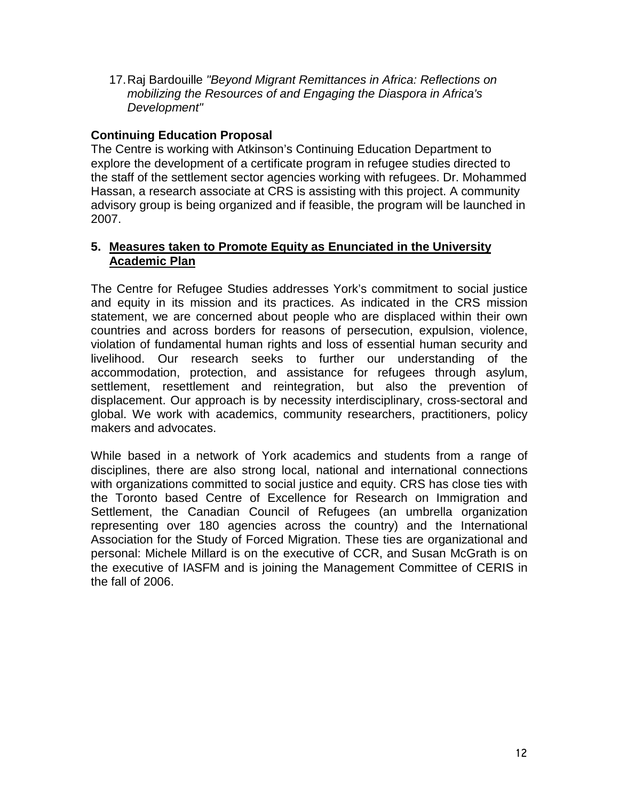17.Raj Bardouille *"Beyond Migrant Remittances in Africa: Reflections on mobilizing the Resources of and Engaging the Diaspora in Africa's Development"*

## **Continuing Education Proposal**

The Centre is working with Atkinson's Continuing Education Department to explore the development of a certificate program in refugee studies directed to the staff of the settlement sector agencies working with refugees. Dr. Mohammed Hassan, a research associate at CRS is assisting with this project. A community advisory group is being organized and if feasible, the program will be launched in 2007.

#### **5. Measures taken to Promote Equity as Enunciated in the University Academic Plan**

The Centre for Refugee Studies addresses York's commitment to social justice and equity in its mission and its practices. As indicated in the CRS mission statement, we are concerned about people who are displaced within their own countries and across borders for reasons of persecution, expulsion, violence, violation of fundamental human rights and loss of essential human security and livelihood. Our research seeks to further our understanding of the accommodation, protection, and assistance for refugees through asylum, settlement, resettlement and reintegration, but also the prevention of displacement. Our approach is by necessity interdisciplinary, cross-sectoral and global. We work with academics, community researchers, practitioners, policy makers and advocates.

While based in a network of York academics and students from a range of disciplines, there are also strong local, national and international connections with organizations committed to social justice and equity. CRS has close ties with the Toronto based Centre of Excellence for Research on Immigration and Settlement, the Canadian Council of Refugees (an umbrella organization representing over 180 agencies across the country) and the International Association for the Study of Forced Migration. These ties are organizational and personal: Michele Millard is on the executive of CCR, and Susan McGrath is on the executive of IASFM and is joining the Management Committee of CERIS in the fall of 2006.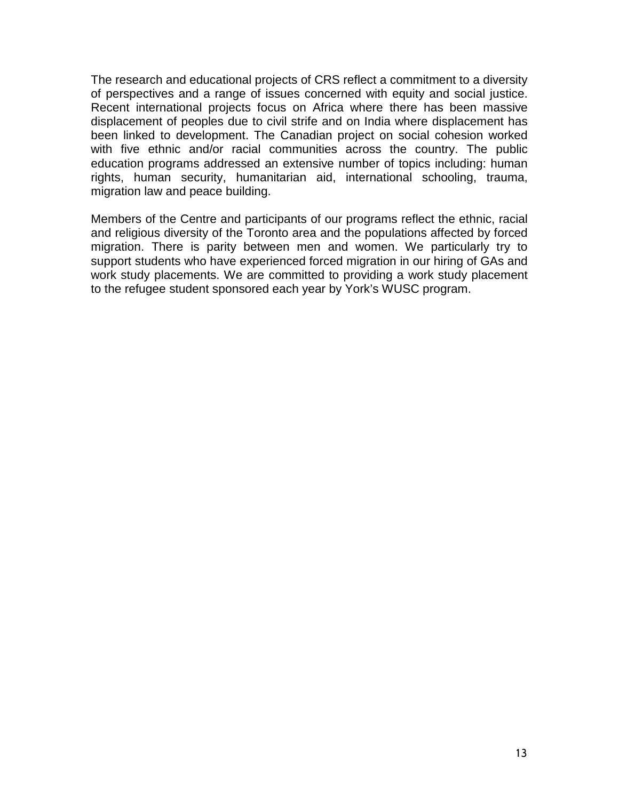The research and educational projects of CRS reflect a commitment to a diversity of perspectives and a range of issues concerned with equity and social justice. Recent international projects focus on Africa where there has been massive displacement of peoples due to civil strife and on India where displacement has been linked to development. The Canadian project on social cohesion worked with five ethnic and/or racial communities across the country. The public education programs addressed an extensive number of topics including: human rights, human security, humanitarian aid, international schooling, trauma, migration law and peace building.

Members of the Centre and participants of our programs reflect the ethnic, racial and religious diversity of the Toronto area and the populations affected by forced migration. There is parity between men and women. We particularly try to support students who have experienced forced migration in our hiring of GAs and work study placements. We are committed to providing a work study placement to the refugee student sponsored each year by York's WUSC program.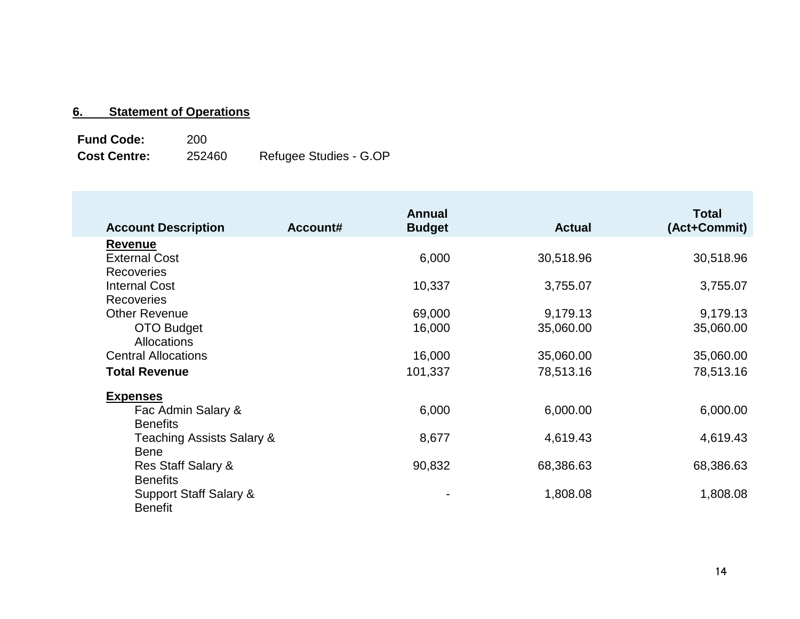# **6. Statement of Operations**

**Fund Code:** 200<br> **Cost Centre:** 252460 Refugee Studies - G.OP

| <b>Account Description</b> | Account# | <b>Annual</b><br><b>Budget</b> | <b>Actual</b> | <b>Total</b><br>(Act+Commit) |
|----------------------------|----------|--------------------------------|---------------|------------------------------|
| <b>Revenue</b>             |          |                                |               |                              |
| <b>External Cost</b>       |          | 6,000                          | 30,518.96     | 30,518.96                    |
| <b>Recoveries</b>          |          |                                |               |                              |
| <b>Internal Cost</b>       |          | 10,337                         | 3,755.07      | 3,755.07                     |
| <b>Recoveries</b>          |          |                                |               |                              |
| <b>Other Revenue</b>       |          | 69,000                         | 9,179.13      | 9,179.13                     |
| OTO Budget                 |          | 16,000                         | 35,060.00     | 35,060.00                    |
| <b>Allocations</b>         |          |                                |               |                              |
| <b>Central Allocations</b> |          | 16,000                         | 35,060.00     | 35,060.00                    |
| <b>Total Revenue</b>       |          | 101,337                        | 78,513.16     | 78,513.16                    |
| <b>Expenses</b>            |          |                                |               |                              |
| Fac Admin Salary &         |          | 6,000                          | 6,000.00      | 6,000.00                     |
| <b>Benefits</b>            |          |                                |               |                              |
| Teaching Assists Salary &  |          | 8,677                          | 4,619.43      | 4,619.43                     |
| <b>Bene</b>                |          |                                |               |                              |
| Res Staff Salary &         |          | 90,832                         | 68,386.63     | 68,386.63                    |
| <b>Benefits</b>            |          |                                |               |                              |
| Support Staff Salary &     |          |                                | 1,808.08      | 1,808.08                     |
| <b>Benefit</b>             |          |                                |               |                              |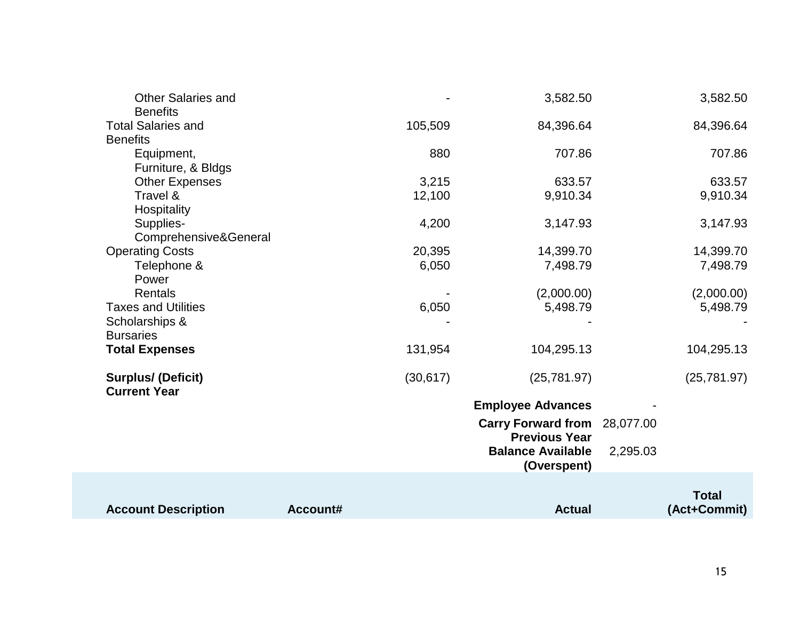| <b>Account Description</b>                       | Account# |           | <b>Actual</b>                                     |           | <b>Total</b><br>(Act+Commit) |
|--------------------------------------------------|----------|-----------|---------------------------------------------------|-----------|------------------------------|
|                                                  |          |           | <b>Balance Available</b><br>(Overspent)           | 2,295.03  |                              |
|                                                  |          |           | <b>Carry Forward from</b><br><b>Previous Year</b> | 28,077.00 |                              |
|                                                  |          |           | <b>Employee Advances</b>                          |           |                              |
| <b>Surplus/ (Deficit)</b><br><b>Current Year</b> |          | (30, 617) | (25, 781.97)                                      |           | (25, 781.97)                 |
| <b>Total Expenses</b>                            |          | 131,954   | 104,295.13                                        |           | 104,295.13                   |
| <b>Bursaries</b>                                 |          |           |                                                   |           |                              |
| <b>Taxes and Utilities</b><br>Scholarships &     |          | 6,050     | 5,498.79                                          |           | 5,498.79                     |
| Rentals                                          |          |           | (2,000.00)                                        |           | (2,000.00)                   |
| Telephone &<br>Power                             |          | 6,050     |                                                   |           |                              |
| <b>Operating Costs</b>                           |          | 20,395    | 14,399.70<br>7,498.79                             |           | 14,399.70<br>7,498.79        |
| Supplies-<br>Comprehensive&General               |          | 4,200     | 3,147.93                                          |           | 3,147.93                     |
| Hospitality                                      |          |           |                                                   |           |                              |
| Travel &                                         |          | 12,100    | 9,910.34                                          |           | 9,910.34                     |
| Furniture, & Bldgs<br><b>Other Expenses</b>      |          | 3,215     | 633.57                                            |           | 633.57                       |
| Equipment,                                       |          | 880       | 707.86                                            |           | 707.86                       |
| <b>Total Salaries and</b><br><b>Benefits</b>     |          | 105,509   | 84,396.64                                         |           | 84,396.64                    |
| <b>Other Salaries and</b><br><b>Benefits</b>     |          |           | 3,582.50                                          |           | 3,582.50                     |
|                                                  |          |           |                                                   |           |                              |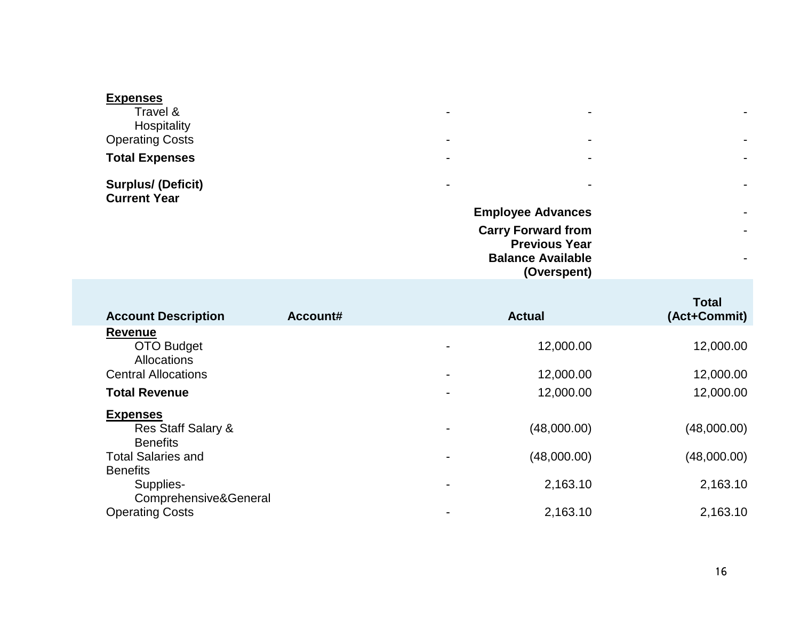| <b>Expenses</b>                                  |                           |                          |                          |
|--------------------------------------------------|---------------------------|--------------------------|--------------------------|
| Travel &                                         | $\blacksquare$            | $\sim$                   | $\blacksquare$           |
| Hospitality                                      |                           |                          |                          |
| <b>Operating Costs</b>                           | $\blacksquare$            | $\sim$                   | $\blacksquare$           |
| <b>Total Expenses</b>                            | $\overline{\phantom{a}}$  | $\sim$                   | $\blacksquare$           |
| <b>Surplus/ (Deficit)</b><br><b>Current Year</b> | $\blacksquare$            | $\sim$                   | $\blacksquare$           |
|                                                  | <b>Employee Advances</b>  |                          | $\blacksquare$           |
|                                                  | <b>Carry Forward from</b> |                          | $\overline{\phantom{0}}$ |
|                                                  |                           | <b>Previous Year</b>     |                          |
|                                                  |                           | <b>Balance Available</b> | $\overline{\phantom{0}}$ |

**(Overspent)**

| <b>Account Description</b>       | Account# |                          | <b>Actual</b> | <b>Total</b><br>(Act+Commit) |
|----------------------------------|----------|--------------------------|---------------|------------------------------|
| <b>Revenue</b>                   |          |                          |               |                              |
| OTO Budget<br><b>Allocations</b> |          | -                        | 12,000.00     | 12,000.00                    |
| <b>Central Allocations</b>       |          |                          | 12,000.00     | 12,000.00                    |
| <b>Total Revenue</b>             |          |                          | 12,000.00     | 12,000.00                    |
| <b>Expenses</b>                  |          |                          |               |                              |
| Res Staff Salary &               |          |                          | (48,000.00)   | (48,000.00)                  |
| <b>Benefits</b>                  |          |                          |               |                              |
| <b>Total Salaries and</b>        |          | $\blacksquare$           | (48,000.00)   | (48,000.00)                  |
| <b>Benefits</b>                  |          |                          |               |                              |
| Supplies-                        |          | ٠                        | 2,163.10      | 2,163.10                     |
| Comprehensive&General            |          |                          |               |                              |
| <b>Operating Costs</b>           |          | $\overline{\phantom{0}}$ | 2,163.10      | 2,163.10                     |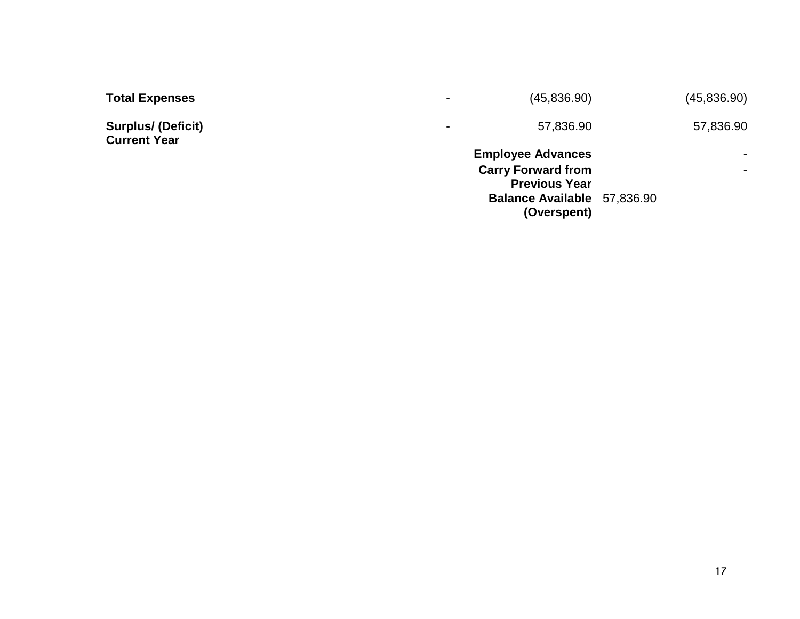| <b>Total Expenses</b>                            | $\overline{\phantom{0}}$ | (45,836.90)                                                                                                                 | (45,836.90) |
|--------------------------------------------------|--------------------------|-----------------------------------------------------------------------------------------------------------------------------|-------------|
| <b>Surplus/ (Deficit)</b><br><b>Current Year</b> | $\blacksquare$           | 57,836.90                                                                                                                   | 57,836.90   |
|                                                  |                          | <b>Employee Advances</b><br><b>Carry Forward from</b><br><b>Previous Year</b><br>Balance Available 57,836.90<br>(Overspent) |             |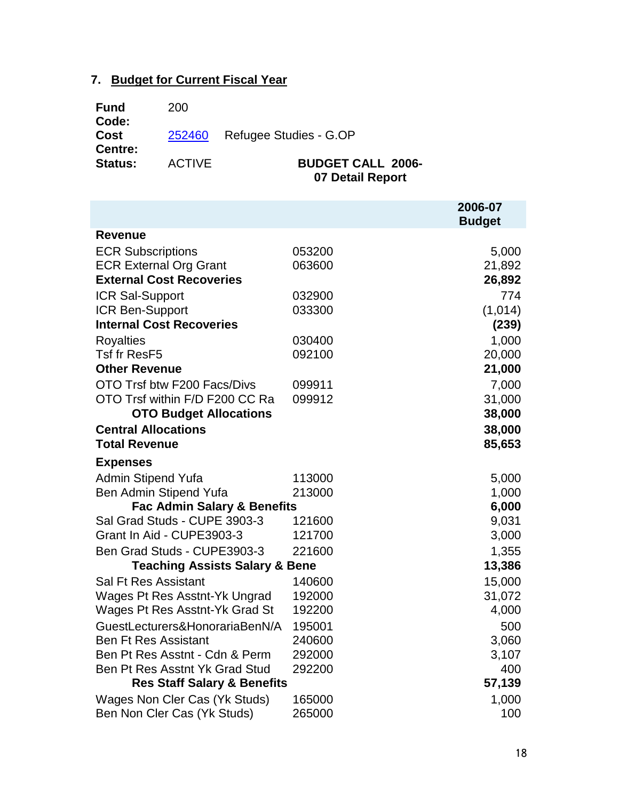# **7. Budget for Current Fiscal Year**

| <b>Fund</b><br>Code:   | 200           |                               |
|------------------------|---------------|-------------------------------|
| Cost<br><b>Centre:</b> |               | 252460 Refugee Studies - G.OP |
| <b>Status:</b>         | <b>ACTIVE</b> | <b>BUDGET CALL 2006-</b>      |

**07 Detail Report**

|                                           |        | 2006-07<br><b>Budget</b> |
|-------------------------------------------|--------|--------------------------|
| <b>Revenue</b>                            |        |                          |
| <b>ECR Subscriptions</b>                  | 053200 | 5,000                    |
| <b>ECR External Org Grant</b>             | 063600 | 21,892                   |
| <b>External Cost Recoveries</b>           |        | 26,892                   |
| ICR Sal-Support                           | 032900 | 774                      |
| <b>ICR Ben-Support</b>                    | 033300 | (1,014)                  |
| <b>Internal Cost Recoveries</b>           |        | (239)                    |
| <b>Royalties</b>                          | 030400 | 1,000                    |
| <b>Tsf fr ResF5</b>                       | 092100 | 20,000                   |
| <b>Other Revenue</b>                      |        | 21,000                   |
| OTO Trsf btw F200 Facs/Divs               | 099911 | 7,000                    |
| OTO Trsf within F/D F200 CC Ra            | 099912 | 31,000                   |
| <b>OTO Budget Allocations</b>             |        | 38,000                   |
| <b>Central Allocations</b>                |        | 38,000                   |
| <b>Total Revenue</b>                      |        | 85,653                   |
| <b>Expenses</b>                           |        |                          |
| <b>Admin Stipend Yufa</b>                 | 113000 | 5,000                    |
| Ben Admin Stipend Yufa                    | 213000 | 1,000                    |
| <b>Fac Admin Salary &amp; Benefits</b>    |        | 6,000                    |
| Sal Grad Studs - CUPE 3903-3              | 121600 | 9,031                    |
| Grant In Aid - CUPE3903-3                 | 121700 | 3,000                    |
| Ben Grad Studs - CUPE3903-3               | 221600 | 1,355                    |
| <b>Teaching Assists Salary &amp; Bene</b> |        | 13,386                   |
| <b>Sal Ft Res Assistant</b>               | 140600 | 15,000                   |
| Wages Pt Res Asstnt-Yk Ungrad             | 192000 | 31,072                   |
| Wages Pt Res Asstnt-Yk Grad St            | 192200 | 4,000                    |
| GuestLecturers&HonorariaBenN/A            | 195001 | 500                      |
| <b>Ben Ft Res Assistant</b>               | 240600 | 3,060                    |
| Ben Pt Res Asstnt - Cdn & Perm            | 292000 | 3,107                    |
| Ben Pt Res Asstnt Yk Grad Stud            | 292200 | 400                      |
| <b>Res Staff Salary &amp; Benefits</b>    |        | 57,139                   |
| Wages Non Cler Cas (Yk Studs)             | 165000 | 1,000                    |
| Ben Non Cler Cas (Yk Studs)               | 265000 | 100                      |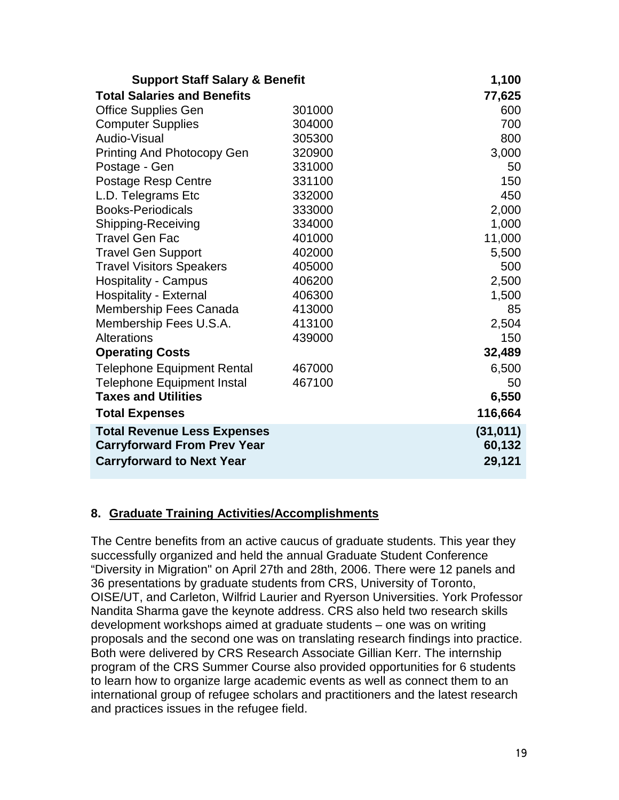| <b>Support Staff Salary &amp; Benefit</b> |        | 1,100     |
|-------------------------------------------|--------|-----------|
| <b>Total Salaries and Benefits</b>        |        | 77,625    |
| <b>Office Supplies Gen</b>                | 301000 | 600       |
| <b>Computer Supplies</b>                  | 304000 | 700       |
| Audio-Visual                              | 305300 | 800       |
| <b>Printing And Photocopy Gen</b>         | 320900 | 3,000     |
| Postage - Gen                             | 331000 | 50        |
| <b>Postage Resp Centre</b>                | 331100 | 150       |
| L.D. Telegrams Etc                        | 332000 | 450       |
| <b>Books-Periodicals</b>                  | 333000 | 2,000     |
| Shipping-Receiving                        | 334000 | 1,000     |
| <b>Travel Gen Fac</b>                     | 401000 | 11,000    |
| <b>Travel Gen Support</b>                 | 402000 | 5,500     |
| <b>Travel Visitors Speakers</b>           | 405000 | 500       |
| <b>Hospitality - Campus</b>               | 406200 | 2,500     |
| <b>Hospitality - External</b>             | 406300 | 1,500     |
| Membership Fees Canada                    | 413000 | 85        |
| Membership Fees U.S.A.                    | 413100 | 2,504     |
| <b>Alterations</b>                        | 439000 | 150       |
| <b>Operating Costs</b>                    |        | 32,489    |
| <b>Telephone Equipment Rental</b>         | 467000 | 6,500     |
| <b>Telephone Equipment Instal</b>         | 467100 | 50        |
| <b>Taxes and Utilities</b>                |        | 6,550     |
| <b>Total Expenses</b>                     |        | 116,664   |
| <b>Total Revenue Less Expenses</b>        |        | (31, 011) |
| <b>Carryforward From Prev Year</b>        |        | 60,132    |
| <b>Carryforward to Next Year</b>          |        | 29,121    |

## **8. Graduate Training Activities/Accomplishments**

The Centre benefits from an active caucus of graduate students. This year they successfully organized and held the annual Graduate Student Conference "Diversity in Migration" on April 27th and 28th, 2006. There were 12 panels and 36 presentations by graduate students from CRS, University of Toronto, OISE/UT, and Carleton, Wilfrid Laurier and Ryerson Universities. York Professor Nandita Sharma gave the keynote address. CRS also held two research skills development workshops aimed at graduate students – one was on writing proposals and the second one was on translating research findings into practice. Both were delivered by CRS Research Associate Gillian Kerr. The internship program of the CRS Summer Course also provided opportunities for 6 students to learn how to organize large academic events as well as connect them to an international group of refugee scholars and practitioners and the latest research and practices issues in the refugee field.